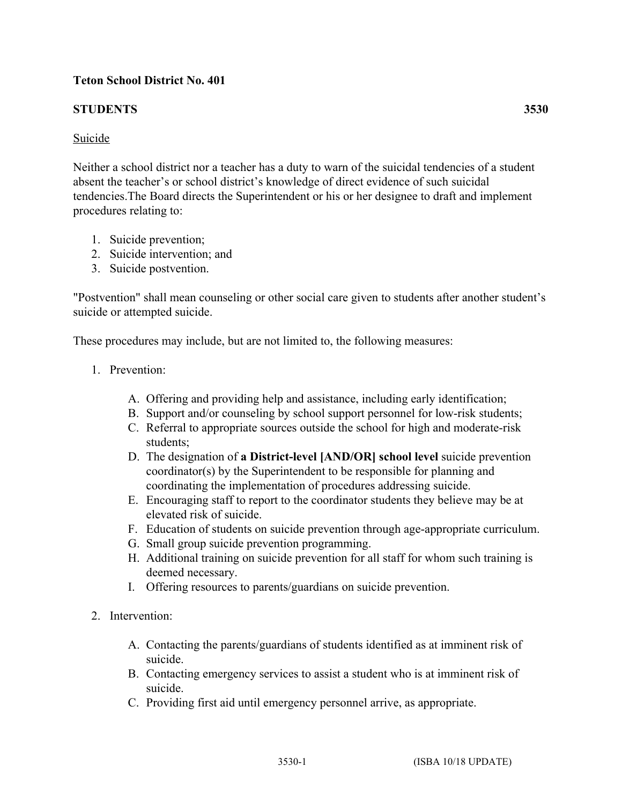## **Teton School District No. 401**

## **STUDENTS 3530**

Neither a school district nor a teacher has a duty to warn of the suicidal tendencies of a student absent the teacher's or school district's knowledge of direct evidence of such suicidal tendencies.The Board directs the Superintendent or his or her designee to draft and implement procedures relating to:

- 1. Suicide prevention;
- 2. Suicide intervention; and
- 3. Suicide postvention.

"Postvention" shall mean counseling or other social care given to students after another student's suicide or attempted suicide.

These procedures may include, but are not limited to, the following measures:

- 1. Prevention:
	- A. Offering and providing help and assistance, including early identification;
	- B. Support and/or counseling by school support personnel for low-risk students;
	- C. Referral to appropriate sources outside the school for high and moderate-risk students;
	- D. The designation of **a District-level [AND/OR] school level** suicide prevention coordinator(s) by the Superintendent to be responsible for planning and coordinating the implementation of procedures addressing suicide.
	- E. Encouraging staff to report to the coordinator students they believe may be at elevated risk of suicide.
	- F. Education of students on suicide prevention through age-appropriate curriculum.
	- G. Small group suicide prevention programming.
	- H. Additional training on suicide prevention for all staff for whom such training is deemed necessary.
	- I. Offering resources to parents/guardians on suicide prevention.
- 2. Intervention:
	- A. Contacting the parents/guardians of students identified as at imminent risk of suicide.
	- B. Contacting emergency services to assist a student who is at imminent risk of suicide.
	- C. Providing first aid until emergency personnel arrive, as appropriate.